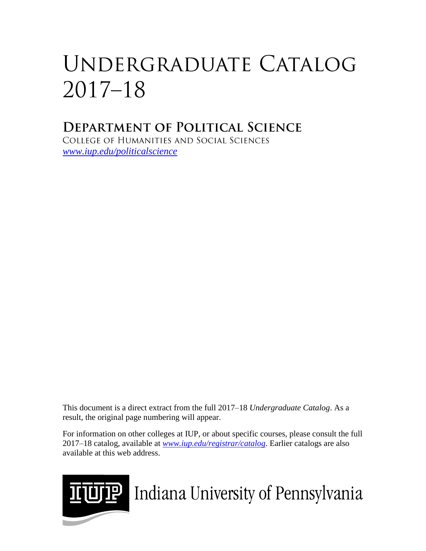# UNDERGRADUATE CATALOG  $2017 - 18$

## **DEPARTMENT OF POLITICAL SCIENCE**

COLLEGE OF HUMANITIES AND SOCIAL SCIENCES *[www.iup.edu/politicalscience](http://www.iup.edu/politicalscience)*

This document is a direct extract from the full 2017–18 *Undergraduate Catalog*. As a result, the original page numbering will appear.

For information on other colleges at IUP, or about specific courses, please consult the full 2017–18 catalog, available at *www.iup.edu/registrar/catalog*. Earlier catalogs are also available at this web address.



**UTP** Indiana University of Pennsylvania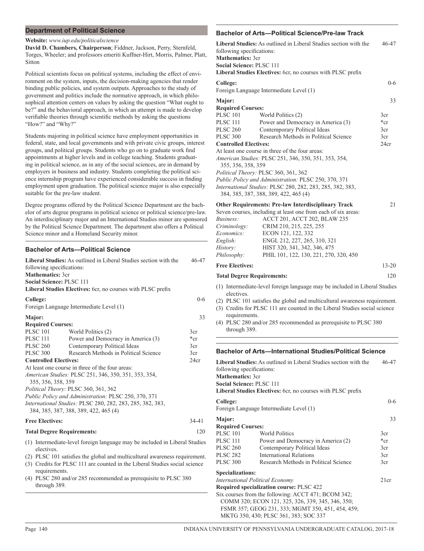#### **Department of Political Science**

#### **Website:** *www.iup.edu/politicalscience*

**David D. Chambers, Chairperson**; Fiddner, Jackson, Perry, Sternfeld, Torges, Wheeler; and professors emeriti Kuffner-Hirt, Morris, Palmer, Platt, Sitton

Political scientists focus on political systems, including the effect of environment on the system, inputs, the decision-making agencies that render binding public policies, and system outputs. Approaches to the study of government and politics include the normative approach, in which philosophical attention centers on values by asking the question "What ought to be?" and the behavioral approach, in which an attempt is made to develop verifiable theories through scientific methods by asking the questions "How?" and "Why?"

Students majoring in political science have employment opportunities in federal, state, and local governments and with private civic groups, interest groups, and political groups. Students who go on to graduate work find appointments at higher levels and in college teaching. Students graduating in political science, as in any of the social sciences, are in demand by employers in business and industry. Students completing the political science internship program have experienced considerable success in finding employment upon graduation. The political science major is also especially suitable for the pre-law student.

Degree programs offered by the Political Science Department are the bachelor of arts degree programs in political science or political science/pre-law. An interdisciplinary major and an International Studies minor are sponsored by the Political Science Department. The department also offers a Political Science minor and a Homeland Security minor.

#### **Bachelor of Arts—Political Science**

| Liberal Studies: As outlined in Liberal Studies section with the<br>46-47<br>following specifications:<br><b>Mathematics: 3cr</b><br>Social Science: PLSC 111<br>Liberal Studies Electives: 6cr, no courses with PLSC prefix |                                                                                                                                                                                                                                                                                                                                                          |                                                                                                                                                                                                                                                                                                                                                                                                                                                    |                                       |
|------------------------------------------------------------------------------------------------------------------------------------------------------------------------------------------------------------------------------|----------------------------------------------------------------------------------------------------------------------------------------------------------------------------------------------------------------------------------------------------------------------------------------------------------------------------------------------------------|----------------------------------------------------------------------------------------------------------------------------------------------------------------------------------------------------------------------------------------------------------------------------------------------------------------------------------------------------------------------------------------------------------------------------------------------------|---------------------------------------|
|                                                                                                                                                                                                                              | College:                                                                                                                                                                                                                                                                                                                                                 | Foreign Language Intermediate Level (1)                                                                                                                                                                                                                                                                                                                                                                                                            | $0 - 6$                               |
| Major:                                                                                                                                                                                                                       | <b>Required Courses:</b>                                                                                                                                                                                                                                                                                                                                 |                                                                                                                                                                                                                                                                                                                                                                                                                                                    | 33                                    |
|                                                                                                                                                                                                                              | <b>PLSC 101</b><br><b>PLSC 111</b><br><b>PLSC 260</b><br><b>PLSC 300</b><br><b>Controlled Electives:</b><br>355, 356, 358, 359                                                                                                                                                                                                                           | World Politics (2)<br>Power and Democracy in America (3)<br>Contemporary Political Ideas<br>Research Methods in Political Science<br>At least one course in three of the four areas:<br>American Studies: PLSC 251, 346, 350, 351, 353, 354,<br>Political Theory: PLSC 360, 361, 362<br>Public Policy and Administration: PLSC 250, 370, 371<br>International Studies: PLSC 280, 282, 283, 285, 382, 383,<br>384, 385, 387, 388, 389, 422, 465 (4) | 3cr<br>$*_{cr}$<br>3cr<br>3cr<br>24cr |
|                                                                                                                                                                                                                              | <b>Free Electives:</b>                                                                                                                                                                                                                                                                                                                                   |                                                                                                                                                                                                                                                                                                                                                                                                                                                    | $34-41$                               |
|                                                                                                                                                                                                                              | <b>Total Degree Requirements:</b>                                                                                                                                                                                                                                                                                                                        |                                                                                                                                                                                                                                                                                                                                                                                                                                                    | 120                                   |
|                                                                                                                                                                                                                              | (1) Intermediate-level foreign language may be included in Liberal Studies<br>electives.<br>(2) PLSC 101 satisfies the global and multicultural awareness requirement.<br>(3) Credits for PLSC 111 are counted in the Liberal Studies social science<br>requirements.<br>(4) PLSC 280 and/or 285 recommended as prerequisite to PLSC 380<br>through 389. |                                                                                                                                                                                                                                                                                                                                                                                                                                                    |                                       |

### **Bachelor of Arts—Political Science/Pre-law Track**

| ו טוונוטמו טטוסווטסו ופ-ומא                                                                                                                                                                                                                                                                                                                                                 |                                                                                                                                                                                                                                                                                                                        |                        |  |  |
|-----------------------------------------------------------------------------------------------------------------------------------------------------------------------------------------------------------------------------------------------------------------------------------------------------------------------------------------------------------------------------|------------------------------------------------------------------------------------------------------------------------------------------------------------------------------------------------------------------------------------------------------------------------------------------------------------------------|------------------------|--|--|
| <b>Liberal Studies:</b> As outlined in Liberal Studies section with the<br>46-47<br>following specifications:<br><b>Mathematics: 3cr</b><br>Social Science: PLSC 111<br>Liberal Studies Electives: 6cr, no courses with PLSC prefix                                                                                                                                         |                                                                                                                                                                                                                                                                                                                        |                        |  |  |
| College:                                                                                                                                                                                                                                                                                                                                                                    | Foreign Language Intermediate Level (1)                                                                                                                                                                                                                                                                                | $0 - 6$                |  |  |
| Major:<br><b>Required Courses:</b><br><b>PLSC 101</b>                                                                                                                                                                                                                                                                                                                       | World Politics (2)                                                                                                                                                                                                                                                                                                     | 33<br>3cr              |  |  |
| <b>PLSC 111</b><br><b>PLSC 260</b><br><b>PLSC 300</b>                                                                                                                                                                                                                                                                                                                       | Power and Democracy in America (3)<br>Contemporary Political Ideas<br>Research Methods in Political Science                                                                                                                                                                                                            | $*_{cr}$<br>3cr<br>3cr |  |  |
| <b>Controlled Electives:</b><br>24cr<br>At least one course in three of the four areas:<br>American Studies: PLSC 251, 346, 350, 351, 353, 354,<br>355, 356, 358, 359<br>Political Theory: PLSC 360, 361, 362<br>Public Policy and Administration: PLSC 250, 370, 371<br>International Studies: PLSC 280, 282, 283, 285, 382, 383,<br>384, 385, 387, 388, 389, 422, 465 (4) |                                                                                                                                                                                                                                                                                                                        |                        |  |  |
| Business:<br>Criminology:<br>Economics:<br>English:<br>History:<br>Philosophy:                                                                                                                                                                                                                                                                                              | <b>Other Requirements: Pre-law Interdisciplinary Track</b><br>Seven courses, including at least one from each of six areas:<br>ACCT 201, ACCT 202, BLAW 235<br>CRIM 210, 215, 225, 255<br>ECON 121, 122, 332<br>ENGL 212, 227, 265, 310, 321<br>HIST 320, 341, 342, 346, 475<br>PHIL 101, 122, 130, 221, 270, 320, 450 | 21                     |  |  |
| <b>Free Electives:</b>                                                                                                                                                                                                                                                                                                                                                      |                                                                                                                                                                                                                                                                                                                        | $13 - 20$              |  |  |
| <b>Total Degree Requirements:</b>                                                                                                                                                                                                                                                                                                                                           |                                                                                                                                                                                                                                                                                                                        |                        |  |  |

- (1) Intermediate-level foreign language may be included in Liberal Studies electives.
- (2) PLSC 101 satisfies the global and multicultural awareness requirement.
- (3) Credits for PLSC 111 are counted in the Liberal Studies social science requirements.
- (4) PLSC 280 and/or 285 recommended as prerequisite to PLSC 380 through 389.

#### **Bachelor of Arts—International Studies/Political Science**

| <b>Liberal Studies:</b> As outlined in Liberal Studies section with the<br>46-47<br>following specifications:<br><b>Mathematics: 3cr</b><br><b>Social Science: PLSC 111</b><br>Liberal Studies Electives: 6cr, no courses with PLSC prefix |                                       |          |  |
|--------------------------------------------------------------------------------------------------------------------------------------------------------------------------------------------------------------------------------------------|---------------------------------------|----------|--|
| College:                                                                                                                                                                                                                                   |                                       | $0 - 6$  |  |
| Foreign Language Intermediate Level (1)                                                                                                                                                                                                    |                                       |          |  |
| Major:                                                                                                                                                                                                                                     |                                       | 33       |  |
| <b>Required Courses:</b>                                                                                                                                                                                                                   |                                       |          |  |
| <b>PLSC 101</b>                                                                                                                                                                                                                            | <b>World Politics</b>                 | 3cr      |  |
| <b>PLSC 111</b>                                                                                                                                                                                                                            | Power and Democracy in America (2)    | $*_{cr}$ |  |
| <b>PLSC 260</b>                                                                                                                                                                                                                            | Contemporary Political Ideas          | 3cr      |  |
| <b>PLSC 282</b>                                                                                                                                                                                                                            | <b>International Relations</b>        | 3cr      |  |
| <b>PLSC 300</b>                                                                                                                                                                                                                            | Research Methods in Political Science | 3cr      |  |
| <b>Specializations:</b>                                                                                                                                                                                                                    |                                       |          |  |
| <b>International Political Economy</b>                                                                                                                                                                                                     |                                       |          |  |
| Required specialization course: PLSC 422                                                                                                                                                                                                   |                                       |          |  |
| Six courses from the following: ACCT 471; BCOM 342;                                                                                                                                                                                        |                                       |          |  |
| COMM 320; ECON 121, 325, 326, 339, 345, 346, 350;                                                                                                                                                                                          |                                       |          |  |
| FSMR 357; GEOG 231, 333; MGMT 350, 451, 454, 459;                                                                                                                                                                                          |                                       |          |  |
| MKTG 350, 430; PLSC 361, 383; SOC 337                                                                                                                                                                                                      |                                       |          |  |